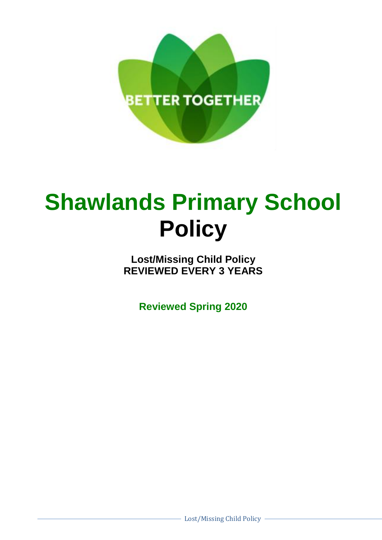

## **Shawlands Primary School Policy**

**Lost/Missing Child Policy REVIEWED EVERY 3 YEARS**

**Reviewed Spring 2020**

Lost/Missing Child Policy